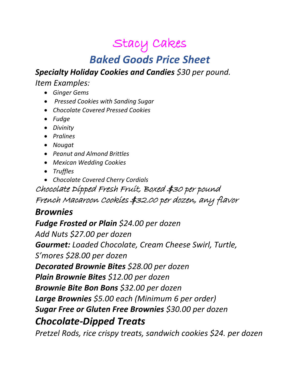# Stacy Cakes

## *Baked Goods Price Sheet*

*Specialty Holiday Cookies and Candies \$30 per pound.*

*Item Examples:* 

- *Ginger Gems*
- *Pressed Cookies with Sanding Sugar*
- *Chocolate Covered Pressed Cookies*
- *Fudge*
- *Divinity*
- *Pralines*
- *Nougat*
- *Peanut and Almond Brittles*
- *Mexican Wedding Cookies*
- *Truffles*
- *Chocolate Covered Cherry Cordials*

Chocolate Dipped Fresh Fruit, Boxed \$30 per pound French Macaroon Cookies \$32.00 per dozen, any flavor

### *Brownies*

*Fudge Frosted or Plain \$24.00 per dozen Add Nuts \$27.00 per dozen Gourmet: Loaded Chocolate, Cream Cheese Swirl, Turtle, S'mores \$28.00 per dozen Decorated Brownie Bites \$28.00 per dozen Plain Brownie Bites \$12.00 per dozen Brownie Bite Bon Bons \$32.00 per dozen Large Brownies \$5.00 each (Minimum 6 per order) Sugar Free or Gluten Free Brownies \$30.00 per dozen Chocolate-Dipped Treats*

*Pretzel Rods, rice crispy treats, sandwich cookies \$24. per dozen*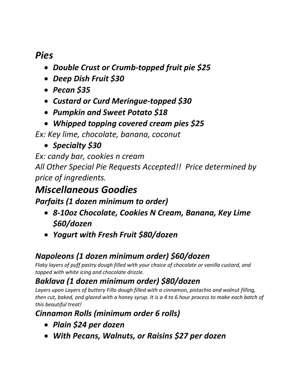## *Pies*

- *Double Crust or Crumb-topped fruit pie \$25*
- *Deep Dish Fruit \$30*
- *Pecan \$35*
- *Custard or Curd Meringue-topped \$30*
- *Pumpkin and Sweet Potato \$18*
- *Whipped topping covered cream pies \$25*

*Ex: Key lime, chocolate, banana, coconut* 

• *Specialty \$30*

*Ex: candy bar, cookies n cream All Other Special Pie Requests Accepted!! Price determined by price of ingredients.*

## *Miscellaneous Goodies*

*Parfaits (1 dozen minimum to order)*

- *8-10oz Chocolate, Cookies N Cream, Banana, Key Lime \$60/dozen*
- *Yogurt with Fresh Fruit \$80/dozen*

## *Napoleons (1 dozen minimum order) \$60/dozen*

*Flaky layers of puff pastry dough filled with your choice of chocolate or vanilla custard, and topped with white icing and chocolate drizzle.*

## *Baklava (1 dozen minimum order) \$80/dozen*

*Layers upon Layers of buttery Fillo dough filled with a cinnamon, pistachio and walnut filling, then cut, baked, and glazed with a honey syrup. It is a 4 to 6 hour process to make each batch of this beautiful treat!*

### *Cinnamon Rolls (minimum order 6 rolls)*

- *Plain \$24 per dozen*
- *With Pecans, Walnuts, or Raisins \$27 per dozen*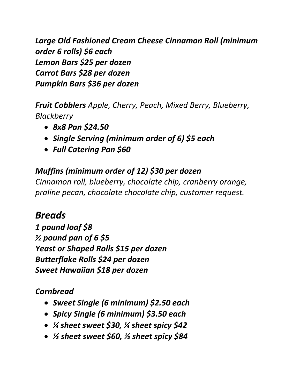*Large Old Fashioned Cream Cheese Cinnamon Roll (minimum order 6 rolls) \$6 each Lemon Bars \$25 per dozen Carrot Bars \$28 per dozen Pumpkin Bars \$36 per dozen*

*Fruit Cobblers Apple, Cherry, Peach, Mixed Berry, Blueberry, Blackberry*

- *8x8 Pan \$24.50*
- *Single Serving (minimum order of 6) \$5 each*
- *Full Catering Pan \$60*

## *Muffins (minimum order of 12) \$30 per dozen*

*Cinnamon roll, blueberry, chocolate chip, cranberry orange, praline pecan, chocolate chocolate chip, customer request.*

## *Breads*

*1 pound loaf \$8 ½ pound pan of 6 \$5 Yeast or Shaped Rolls \$15 per dozen Butterflake Rolls \$24 per dozen Sweet Hawaiian \$18 per dozen*

### *Cornbread*

- *Sweet Single (6 minimum) \$2.50 each*
- *Spicy Single (6 minimum) \$3.50 each*
- *¼ sheet sweet \$30, ¼ sheet spicy \$42*
- *½ sheet sweet \$60, ½ sheet spicy \$84*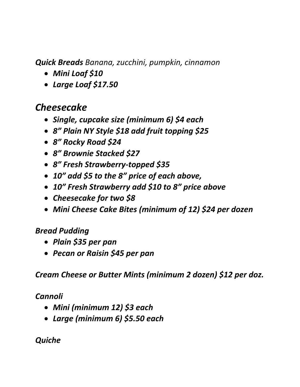*Quick Breads Banana, zucchini, pumpkin, cinnamon*

- *Mini Loaf \$10*
- *Large Loaf \$17.50*

## *Cheesecake*

- *Single, cupcake size (minimum 6) \$4 each*
- *8" Plain NY Style \$18 add fruit topping \$25*
- *8" Rocky Road \$24*
- *8" Brownie Stacked \$27*
- *8" Fresh Strawberry-topped \$35*
- *10" add \$5 to the 8" price of each above,*
- *10" Fresh Strawberry add \$10 to 8" price above*
- *Cheesecake for two \$8*
- *Mini Cheese Cake Bites (minimum of 12) \$24 per dozen*

### *Bread Pudding*

- *Plain \$35 per pan*
- *Pecan or Raisin \$45 per pan*

*Cream Cheese or Butter Mints (minimum 2 dozen) \$12 per doz.*

#### *Cannoli*

- *Mini (minimum 12) \$3 each*
- *Large (minimum 6) \$5.50 each*

### *Quiche*